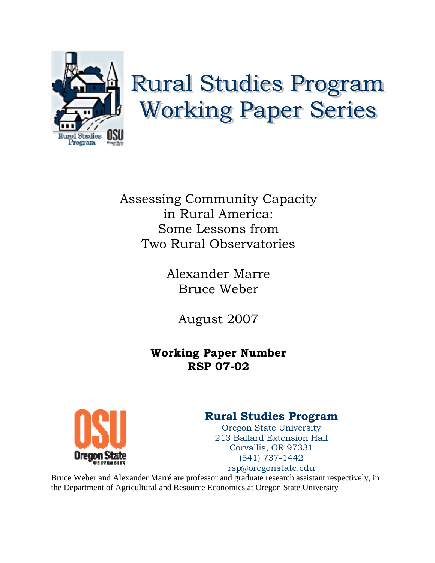

# **Rural Studies Program Working Paper Series**

Assessing Community Capacity in Rural America: Some Lessons from Two Rural Observatories

> Alexander Marre Bruce Weber

> > August 2007

# **Working Paper Number RSP 07-02**



# **Rural Studies Program**

Oregon State University 213 Ballard Extension Hall Corvallis, OR 97331 (541) 737-1442

rsp@oregonstate.edu

Bruce Weber and Alexander Marré are professor and graduate research assistant respectively, in the Department of Agricultural and Resource Economics at Oregon State University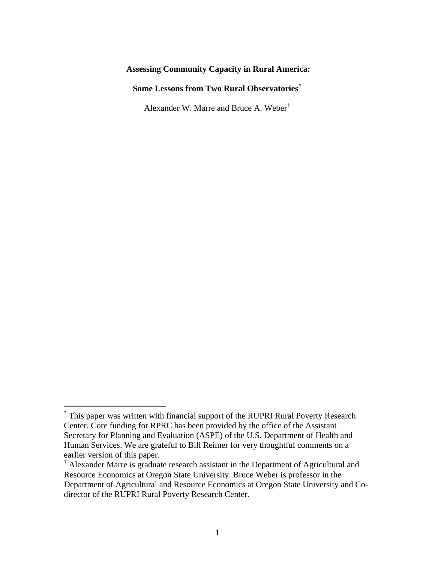# **Assessing Community Capacity in Rural America:**

# **Some Lessons from Two Rural Observatories[\\*](#page-1-0)**

Alexander W. Marre and Bruce A. Weber[†](#page-1-1)

 $\overline{a}$ 

<span id="page-1-0"></span><sup>\*</sup> This paper was written with financial support of the RUPRI Rural Poverty Research Center. Core funding for RPRC has been provided by the office of the Assistant Secretary for Planning and Evaluation (ASPE) of the U.S. Department of Health and Human Services. We are grateful to Bill Reimer for very thoughtful comments on a earlier version of this paper.

<span id="page-1-1"></span><sup>&</sup>lt;sup>†</sup> Alexander Marre is graduate research assistant in the Department of Agricultural and Resource Economics at Oregon State University. Bruce Weber is professor in the Department of Agricultural and Resource Economics at Oregon State University and Codirector of the RUPRI Rural Poverty Research Center.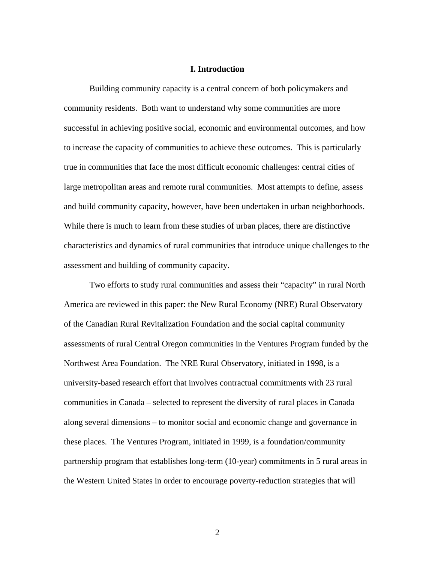#### **I. Introduction**

Building community capacity is a central concern of both policymakers and community residents. Both want to understand why some communities are more successful in achieving positive social, economic and environmental outcomes, and how to increase the capacity of communities to achieve these outcomes. This is particularly true in communities that face the most difficult economic challenges: central cities of large metropolitan areas and remote rural communities. Most attempts to define, assess and build community capacity, however, have been undertaken in urban neighborhoods. While there is much to learn from these studies of urban places, there are distinctive characteristics and dynamics of rural communities that introduce unique challenges to the assessment and building of community capacity.

 Two efforts to study rural communities and assess their "capacity" in rural North America are reviewed in this paper: the New Rural Economy (NRE) Rural Observatory of the Canadian Rural Revitalization Foundation and the social capital community assessments of rural Central Oregon communities in the Ventures Program funded by the Northwest Area Foundation. The NRE Rural Observatory, initiated in 1998, is a university-based research effort that involves contractual commitments with 23 rural communities in Canada – selected to represent the diversity of rural places in Canada along several dimensions – to monitor social and economic change and governance in these places. The Ventures Program, initiated in 1999, is a foundation/community partnership program that establishes long-term (10-year) commitments in 5 rural areas in the Western United States in order to encourage poverty-reduction strategies that will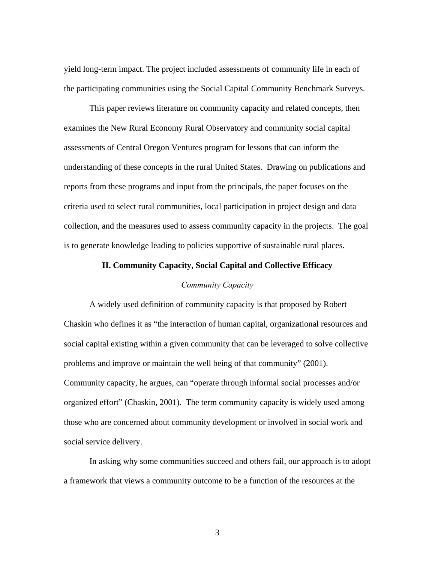yield long-term impact. The project included assessments of community life in each of the participating communities using the Social Capital Community Benchmark Surveys.

 This paper reviews literature on community capacity and related concepts, then examines the New Rural Economy Rural Observatory and community social capital assessments of Central Oregon Ventures program for lessons that can inform the understanding of these concepts in the rural United States. Drawing on publications and reports from these programs and input from the principals, the paper focuses on the criteria used to select rural communities, local participation in project design and data collection, and the measures used to assess community capacity in the projects. The goal is to generate knowledge leading to policies supportive of sustainable rural places.

# **II. Community Capacity, Social Capital and Collective Efficacy**

# *Community Capacity*

A widely used definition of community capacity is that proposed by Robert Chaskin who defines it as "the interaction of human capital, organizational resources and social capital existing within a given community that can be leveraged to solve collective problems and improve or maintain the well being of that community" (2001). Community capacity, he argues, can "operate through informal social processes and/or organized effort" (Chaskin, 2001). The term community capacity is widely used among those who are concerned about community development or involved in social work and social service delivery.

 In asking why some communities succeed and others fail, our approach is to adopt a framework that views a community outcome to be a function of the resources at the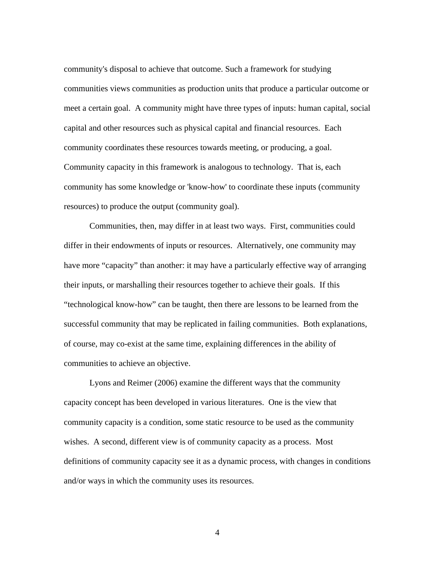community's disposal to achieve that outcome. Such a framework for studying communities views communities as production units that produce a particular outcome or meet a certain goal. A community might have three types of inputs: human capital, social capital and other resources such as physical capital and financial resources. Each community coordinates these resources towards meeting, or producing, a goal. Community capacity in this framework is analogous to technology. That is, each community has some knowledge or 'know-how' to coordinate these inputs (community resources) to produce the output (community goal).

 Communities, then, may differ in at least two ways. First, communities could differ in their endowments of inputs or resources. Alternatively, one community may have more "capacity" than another: it may have a particularly effective way of arranging their inputs, or marshalling their resources together to achieve their goals. If this "technological know-how" can be taught, then there are lessons to be learned from the successful community that may be replicated in failing communities. Both explanations, of course, may co-exist at the same time, explaining differences in the ability of communities to achieve an objective.

Lyons and Reimer (2006) examine the different ways that the community capacity concept has been developed in various literatures. One is the view that community capacity is a condition, some static resource to be used as the community wishes. A second, different view is of community capacity as a process. Most definitions of community capacity see it as a dynamic process, with changes in conditions and/or ways in which the community uses its resources.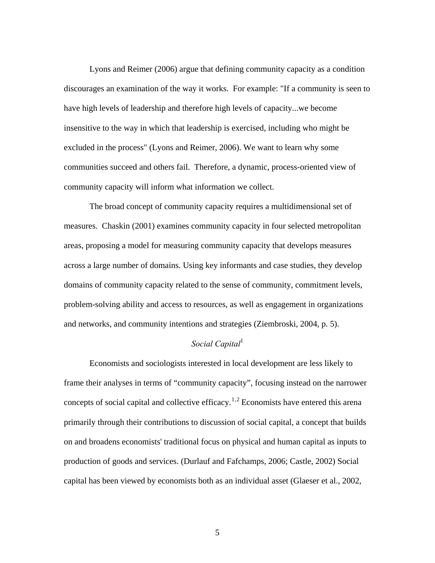Lyons and Reimer (2006) argue that defining community capacity as a condition discourages an examination of the way it works. For example: "If a community is seen to have high levels of leadership and therefore high levels of capacity...we become insensitive to the way in which that leadership is exercised, including who might be excluded in the process" (Lyons and Reimer, 2006). We want to learn why some communities succeed and others fail. Therefore, a dynamic, process-oriented view of community capacity will inform what information we collect.

 The broad concept of community capacity requires a multidimensional set of measures. Chaskin (2001) examines community capacity in four selected metropolitan areas, proposing a model for measuring community capacity that develops measures across a large number of domains. Using key informants and case studies, they develop domains of community capacity related to the sense of community, commitment levels, problem-solving ability and access to resources, as well as engagement in organizations and networks, and community intentions and strategies (Ziembroski, 2004, p. 5).

# *Social Capital*<sup>1</sup>

Economists and sociologists interested in local development are less likely to frame their analyses in terms of "community capacity", focusing instead on the narrower concepts of social capital and collective efficacy.<sup>[1](#page-36-0),[2](#page-36-1)</sup> Economists have entered this arena primarily through their contributions to discussion of social capital, a concept that builds on and broadens economists' traditional focus on physical and human capital as inputs to production of goods and services. (Durlauf and Fafchamps, 2006; Castle, 2002) Social capital has been viewed by economists both as an individual asset (Glaeser et al., 2002,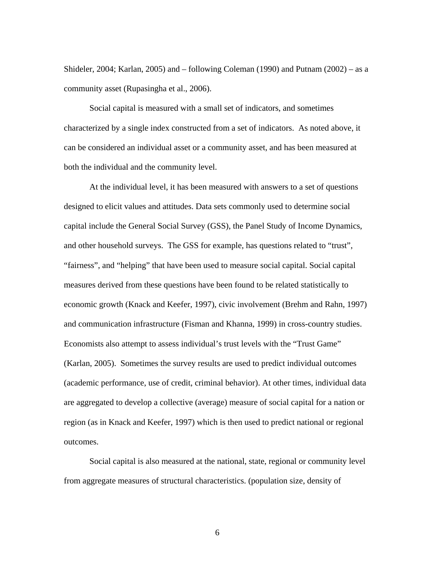Shideler, 2004; Karlan, 2005) and – following Coleman (1990) and Putnam (2002) – as a community asset (Rupasingha et al., 2006).

 Social capital is measured with a small set of indicators, and sometimes characterized by a single index constructed from a set of indicators. As noted above, it can be considered an individual asset or a community asset, and has been measured at both the individual and the community level.

At the individual level, it has been measured with answers to a set of questions designed to elicit values and attitudes. Data sets commonly used to determine social capital include the General Social Survey (GSS), the Panel Study of Income Dynamics, and other household surveys. The GSS for example, has questions related to "trust", "fairness", and "helping" that have been used to measure social capital. Social capital measures derived from these questions have been found to be related statistically to economic growth (Knack and Keefer, 1997), civic involvement (Brehm and Rahn, 1997) and communication infrastructure (Fisman and Khanna, 1999) in cross-country studies. Economists also attempt to assess individual's trust levels with the "Trust Game" (Karlan, 2005). Sometimes the survey results are used to predict individual outcomes (academic performance, use of credit, criminal behavior). At other times, individual data are aggregated to develop a collective (average) measure of social capital for a nation or region (as in Knack and Keefer, 1997) which is then used to predict national or regional outcomes.

Social capital is also measured at the national, state, regional or community level from aggregate measures of structural characteristics. (population size, density of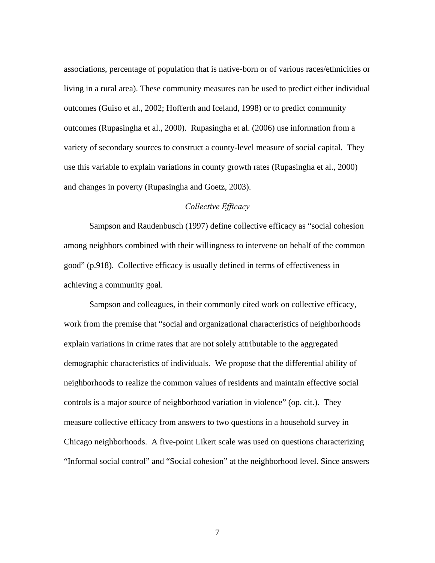associations, percentage of population that is native-born or of various races/ethnicities or living in a rural area). These community measures can be used to predict either individual outcomes (Guiso et al., 2002; Hofferth and Iceland, 1998) or to predict community outcomes (Rupasingha et al., 2000). Rupasingha et al. (2006) use information from a variety of secondary sources to construct a county-level measure of social capital. They use this variable to explain variations in county growth rates (Rupasingha et al., 2000) and changes in poverty (Rupasingha and Goetz, 2003).

#### *Collective Efficacy*

Sampson and Raudenbusch (1997) define collective efficacy as "social cohesion among neighbors combined with their willingness to intervene on behalf of the common good" (p.918). Collective efficacy is usually defined in terms of effectiveness in achieving a community goal.

Sampson and colleagues, in their commonly cited work on collective efficacy, work from the premise that "social and organizational characteristics of neighborhoods explain variations in crime rates that are not solely attributable to the aggregated demographic characteristics of individuals. We propose that the differential ability of neighborhoods to realize the common values of residents and maintain effective social controls is a major source of neighborhood variation in violence" (op. cit.). They measure collective efficacy from answers to two questions in a household survey in Chicago neighborhoods. A five-point Likert scale was used on questions characterizing "Informal social control" and "Social cohesion" at the neighborhood level. Since answers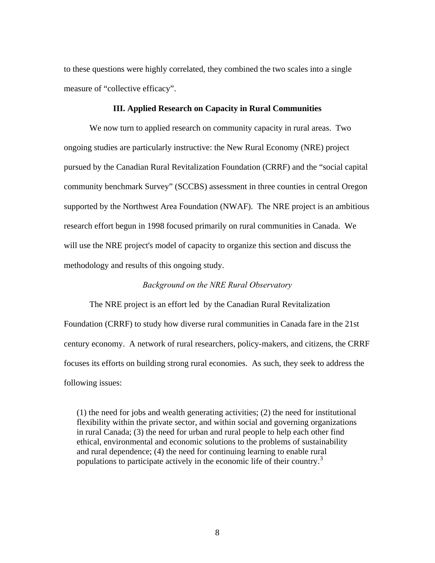to these questions were highly correlated, they combined the two scales into a single measure of "collective efficacy".

#### **III. Applied Research on Capacity in Rural Communities**

 We now turn to applied research on community capacity in rural areas. Two ongoing studies are particularly instructive: the New Rural Economy (NRE) project pursued by the Canadian Rural Revitalization Foundation (CRRF) and the "social capital community benchmark Survey" (SCCBS) assessment in three counties in central Oregon supported by the Northwest Area Foundation (NWAF). The NRE project is an ambitious research effort begun in 1998 focused primarily on rural communities in Canada. We will use the NRE project's model of capacity to organize this section and discuss the methodology and results of this ongoing study.

# *Background on the NRE Rural Observatory*

 The NRE project is an effort led by the Canadian Rural Revitalization Foundation (CRRF) to study how diverse rural communities in Canada fare in the 21st century economy. A network of rural researchers, policy-makers, and citizens, the CRRF focuses its efforts on building strong rural economies. As such, they seek to address the following issues:

(1) the need for jobs and wealth generating activities; (2) the need for institutional flexibility within the private sector, and within social and governing organizations in rural Canada; (3) the need for urban and rural people to help each other find ethical, environmental and economic solutions to the problems of sustainability and rural dependence; (4) the need for continuing learning to enable rural populations to participate actively in the economic life of their country.<sup>[3](#page-36-1)</sup>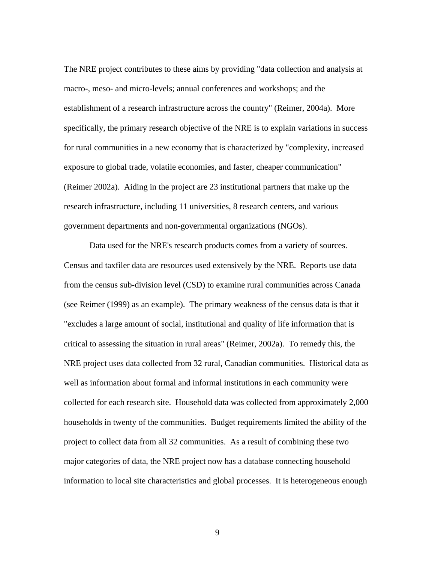The NRE project contributes to these aims by providing "data collection and analysis at macro-, meso- and micro-levels; annual conferences and workshops; and the establishment of a research infrastructure across the country" (Reimer, 2004a). More specifically, the primary research objective of the NRE is to explain variations in success for rural communities in a new economy that is characterized by "complexity, increased exposure to global trade, volatile economies, and faster, cheaper communication" (Reimer 2002a). Aiding in the project are 23 institutional partners that make up the research infrastructure, including 11 universities, 8 research centers, and various government departments and non-governmental organizations (NGOs).

 Data used for the NRE's research products comes from a variety of sources. Census and taxfiler data are resources used extensively by the NRE. Reports use data from the census sub-division level (CSD) to examine rural communities across Canada (see Reimer (1999) as an example). The primary weakness of the census data is that it "excludes a large amount of social, institutional and quality of life information that is critical to assessing the situation in rural areas" (Reimer, 2002a). To remedy this, the NRE project uses data collected from 32 rural, Canadian communities. Historical data as well as information about formal and informal institutions in each community were collected for each research site. Household data was collected from approximately 2,000 households in twenty of the communities. Budget requirements limited the ability of the project to collect data from all 32 communities. As a result of combining these two major categories of data, the NRE project now has a database connecting household information to local site characteristics and global processes. It is heterogeneous enough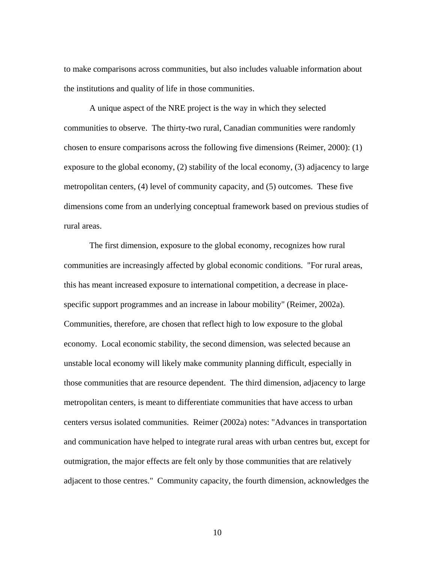to make comparisons across communities, but also includes valuable information about the institutions and quality of life in those communities.

 A unique aspect of the NRE project is the way in which they selected communities to observe. The thirty-two rural, Canadian communities were randomly chosen to ensure comparisons across the following five dimensions (Reimer, 2000): (1) exposure to the global economy, (2) stability of the local economy, (3) adjacency to large metropolitan centers, (4) level of community capacity, and (5) outcomes. These five dimensions come from an underlying conceptual framework based on previous studies of rural areas.

 The first dimension, exposure to the global economy, recognizes how rural communities are increasingly affected by global economic conditions. "For rural areas, this has meant increased exposure to international competition, a decrease in placespecific support programmes and an increase in labour mobility" (Reimer, 2002a). Communities, therefore, are chosen that reflect high to low exposure to the global economy. Local economic stability, the second dimension, was selected because an unstable local economy will likely make community planning difficult, especially in those communities that are resource dependent. The third dimension, adjacency to large metropolitan centers, is meant to differentiate communities that have access to urban centers versus isolated communities. Reimer (2002a) notes: "Advances in transportation and communication have helped to integrate rural areas with urban centres but, except for outmigration, the major effects are felt only by those communities that are relatively adjacent to those centres." Community capacity, the fourth dimension, acknowledges the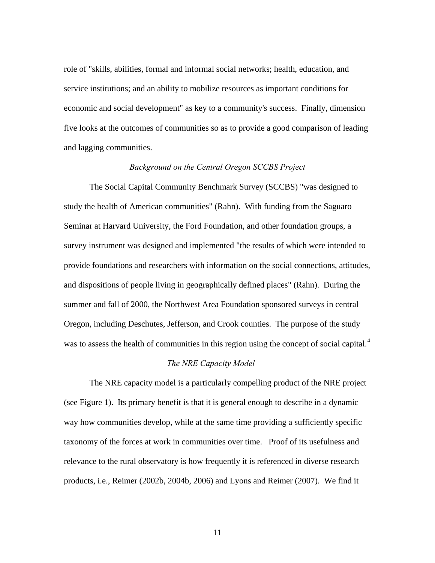role of "skills, abilities, formal and informal social networks; health, education, and service institutions; and an ability to mobilize resources as important conditions for economic and social development" as key to a community's success. Finally, dimension five looks at the outcomes of communities so as to provide a good comparison of leading and lagging communities.

#### *Background on the Central Oregon SCCBS Project*

 The Social Capital Community Benchmark Survey (SCCBS) "was designed to study the health of American communities" (Rahn). With funding from the Saguaro Seminar at Harvard University, the Ford Foundation, and other foundation groups, a survey instrument was designed and implemented "the results of which were intended to provide foundations and researchers with information on the social connections, attitudes, and dispositions of people living in geographically defined places" (Rahn). During the summer and fall of 2000, the Northwest Area Foundation sponsored surveys in central Oregon, including Deschutes, Jefferson, and Crook counties. The purpose of the study was to assess the health of communities in this region using the concept of social capital.<sup>[4](#page-36-1)</sup>

# *The NRE Capacity Model*

 The NRE capacity model is a particularly compelling product of the NRE project (see Figure 1). Its primary benefit is that it is general enough to describe in a dynamic way how communities develop, while at the same time providing a sufficiently specific taxonomy of the forces at work in communities over time. Proof of its usefulness and relevance to the rural observatory is how frequently it is referenced in diverse research products, i.e., Reimer (2002b, 2004b, 2006) and Lyons and Reimer (2007). We find it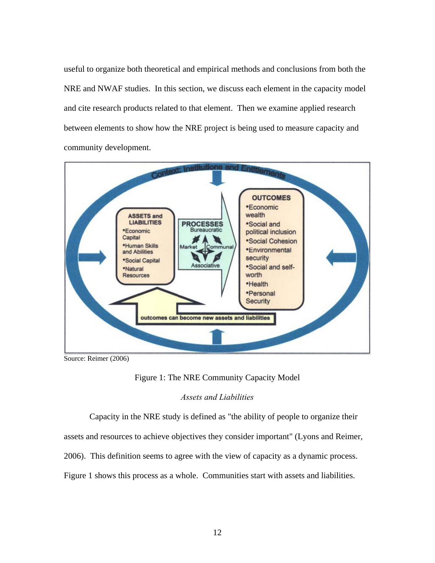useful to organize both theoretical and empirical methods and conclusions from both the NRE and NWAF studies. In this section, we discuss each element in the capacity model and cite research products related to that element. Then we examine applied research between elements to show how the NRE project is being used to measure capacity and community development.



Source: Reimer (2006)

Figure 1: The NRE Community Capacity Model

# *Assets and Liabilities*

Capacity in the NRE study is defined as "the ability of people to organize their

assets and resources to achieve objectives they consider important" (Lyons and Reimer,

2006). This definition seems to agree with the view of capacity as a dynamic process.

Figure 1 shows this process as a whole. Communities start with assets and liabilities.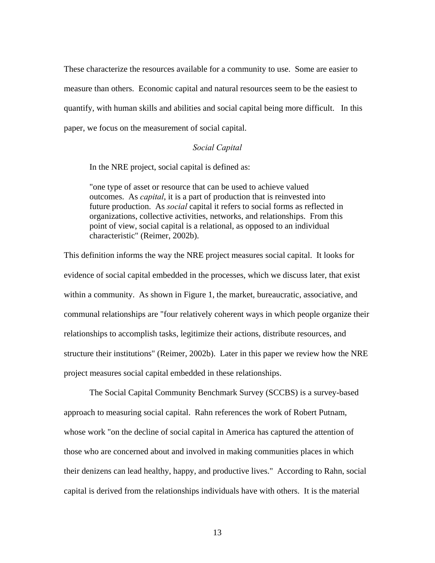These characterize the resources available for a community to use. Some are easier to measure than others. Economic capital and natural resources seem to be the easiest to quantify, with human skills and abilities and social capital being more difficult. In this paper, we focus on the measurement of social capital.

#### *Social Capital*

In the NRE project, social capital is defined as:

"one type of asset or resource that can be used to achieve valued outcomes. As *capital*, it is a part of production that is reinvested into future production. As *social* capital it refers to social forms as reflected in organizations, collective activities, networks, and relationships. From this point of view, social capital is a relational, as opposed to an individual characteristic" (Reimer, 2002b).

This definition informs the way the NRE project measures social capital. It looks for evidence of social capital embedded in the processes, which we discuss later, that exist within a community. As shown in Figure 1, the market, bureaucratic, associative, and communal relationships are "four relatively coherent ways in which people organize their relationships to accomplish tasks, legitimize their actions, distribute resources, and structure their institutions" (Reimer, 2002b). Later in this paper we review how the NRE project measures social capital embedded in these relationships.

The Social Capital Community Benchmark Survey (SCCBS) is a survey-based approach to measuring social capital. Rahn references the work of Robert Putnam, whose work "on the decline of social capital in America has captured the attention of those who are concerned about and involved in making communities places in which their denizens can lead healthy, happy, and productive lives." According to Rahn, social capital is derived from the relationships individuals have with others. It is the material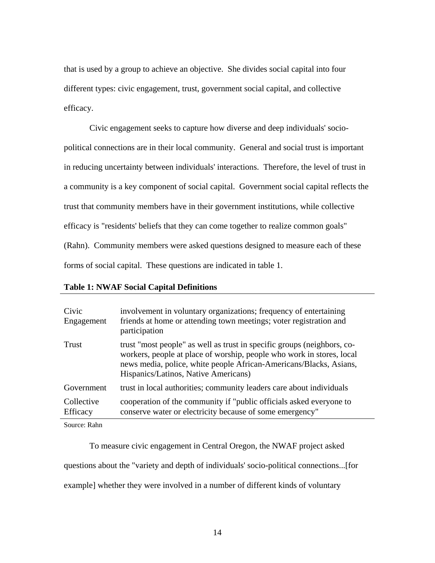that is used by a group to achieve an objective. She divides social capital into four different types: civic engagement, trust, government social capital, and collective efficacy.

 Civic engagement seeks to capture how diverse and deep individuals' sociopolitical connections are in their local community. General and social trust is important in reducing uncertainty between individuals' interactions. Therefore, the level of trust in a community is a key component of social capital. Government social capital reflects the trust that community members have in their government institutions, while collective efficacy is "residents' beliefs that they can come together to realize common goals" (Rahn). Community members were asked questions designed to measure each of these forms of social capital. These questions are indicated in table 1.

# **Table 1: NWAF Social Capital Definitions**

| Civic<br>Engagement           | involvement in voluntary organizations; frequency of entertaining<br>friends at home or attending town meetings; voter registration and<br>participation                                                                                                       |
|-------------------------------|----------------------------------------------------------------------------------------------------------------------------------------------------------------------------------------------------------------------------------------------------------------|
| Trust                         | trust "most people" as well as trust in specific groups (neighbors, co-<br>workers, people at place of worship, people who work in stores, local<br>news media, police, white people African-Americans/Blacks, Asians,<br>Hispanics/Latinos, Native Americans) |
| Government                    | trust in local authorities; community leaders care about individuals                                                                                                                                                                                           |
| Collective<br><b>Efficacy</b> | cooperation of the community if "public officials asked everyone to<br>conserve water or electricity because of some emergency"                                                                                                                                |

Source: Rahn

 To measure civic engagement in Central Oregon, the NWAF project asked questions about the "variety and depth of individuals' socio-political connections...[for example] whether they were involved in a number of different kinds of voluntary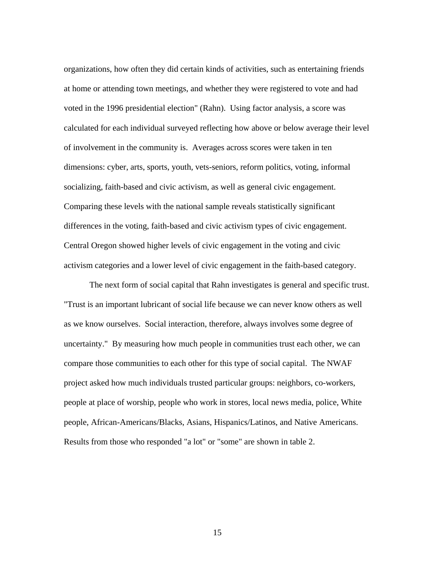organizations, how often they did certain kinds of activities, such as entertaining friends at home or attending town meetings, and whether they were registered to vote and had voted in the 1996 presidential election" (Rahn). Using factor analysis, a score was calculated for each individual surveyed reflecting how above or below average their level of involvement in the community is. Averages across scores were taken in ten dimensions: cyber, arts, sports, youth, vets-seniors, reform politics, voting, informal socializing, faith-based and civic activism, as well as general civic engagement. Comparing these levels with the national sample reveals statistically significant differences in the voting, faith-based and civic activism types of civic engagement. Central Oregon showed higher levels of civic engagement in the voting and civic activism categories and a lower level of civic engagement in the faith-based category.

 The next form of social capital that Rahn investigates is general and specific trust. "Trust is an important lubricant of social life because we can never know others as well as we know ourselves. Social interaction, therefore, always involves some degree of uncertainty." By measuring how much people in communities trust each other, we can compare those communities to each other for this type of social capital. The NWAF project asked how much individuals trusted particular groups: neighbors, co-workers, people at place of worship, people who work in stores, local news media, police, White people, African-Americans/Blacks, Asians, Hispanics/Latinos, and Native Americans. Results from those who responded "a lot" or "some" are shown in table 2.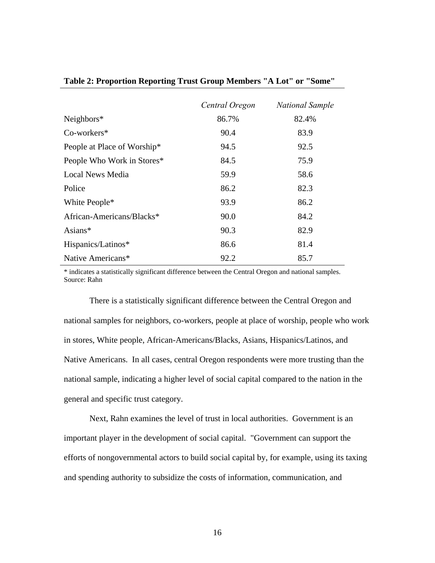|                             | Central Oregon | <b>National Sample</b> |
|-----------------------------|----------------|------------------------|
| Neighbors $*$               | 86.7%          | 82.4%                  |
| Co-workers*                 | 90.4           | 83.9                   |
| People at Place of Worship* | 94.5           | 92.5                   |
| People Who Work in Stores*  | 84.5           | 75.9                   |
| Local News Media            | 59.9           | 58.6                   |
| Police                      | 86.2           | 82.3                   |
| White People*               | 93.9           | 86.2                   |
| African-Americans/Blacks*   | 90.0           | 84.2                   |
| Asians $*$                  | 90.3           | 82.9                   |
| Hispanics/Latinos*          | 86.6           | 81.4                   |
| Native Americans*           | 92.2           | 85.7                   |

#### **Table 2: Proportion Reporting Trust Group Members "A Lot" or "Some"**

\* indicates a statistically significant difference between the Central Oregon and national samples. Source: Rahn

 There is a statistically significant difference between the Central Oregon and national samples for neighbors, co-workers, people at place of worship, people who work in stores, White people, African-Americans/Blacks, Asians, Hispanics/Latinos, and Native Americans. In all cases, central Oregon respondents were more trusting than the national sample, indicating a higher level of social capital compared to the nation in the general and specific trust category.

 Next, Rahn examines the level of trust in local authorities. Government is an important player in the development of social capital. "Government can support the efforts of nongovernmental actors to build social capital by, for example, using its taxing and spending authority to subsidize the costs of information, communication, and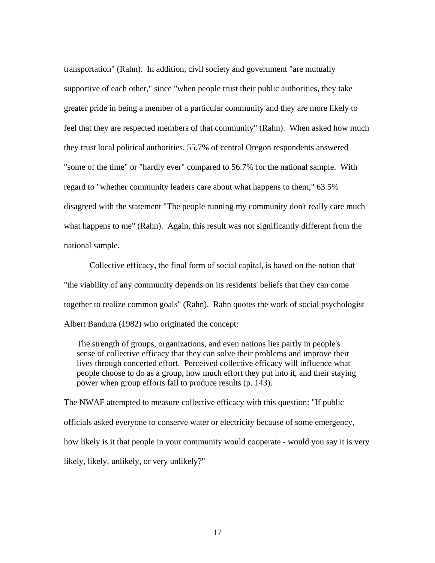transportation" (Rahn). In addition, civil society and government "are mutually supportive of each other," since "when people trust their public authorities, they take greater pride in being a member of a particular community and they are more likely to feel that they are respected members of that community" (Rahn). When asked how much they trust local political authorities, 55.7% of central Oregon respondents answered "some of the time" or "hardly ever" compared to 56.7% for the national sample. With regard to "whether community leaders care about what happens to them," 63.5% disagreed with the statement "The people running my community don't really care much what happens to me" (Rahn). Again, this result was not significantly different from the national sample.

 Collective efficacy, the final form of social capital, is based on the notion that "the viability of any community depends on its residents' beliefs that they can come together to realize common goals" (Rahn). Rahn quotes the work of social psychologist Albert Bandura (1982) who originated the concept:

The strength of groups, organizations, and even nations lies partly in people's sense of collective efficacy that they can solve their problems and improve their lives through concerted effort. Perceived collective efficacy will influence what people choose to do as a group, how much effort they put into it, and their staying power when group efforts fail to produce results (p. 143).

The NWAF attempted to measure collective efficacy with this question: "If public officials asked everyone to conserve water or electricity because of some emergency, how likely is it that people in your community would cooperate - would you say it is very likely, likely, unlikely, or very unlikely?"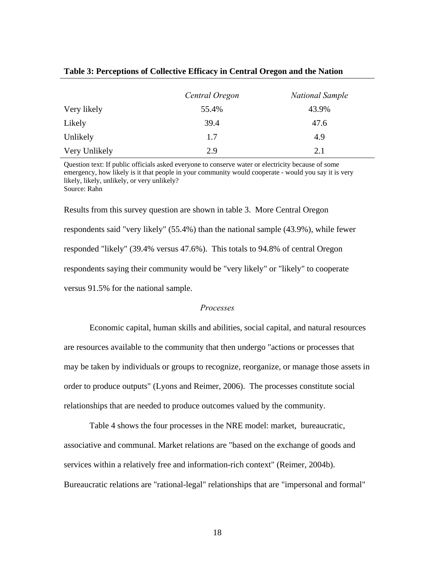|               | Central Oregon | <b>National Sample</b> |
|---------------|----------------|------------------------|
| Very likely   | 55.4%          | 43.9%                  |
| Likely        | 39.4           | 47.6                   |
| Unlikely      | 1.7            | 4.9                    |
| Very Unlikely | 2.9            | 2.1                    |

#### **Table 3: Perceptions of Collective Efficacy in Central Oregon and the Nation**

Question text: If public officials asked everyone to conserve water or electricity because of some emergency, how likely is it that people in your community would cooperate - would you say it is very likely, likely, unlikely, or very unlikely? Source: Rahn

Results from this survey question are shown in table 3. More Central Oregon respondents said "very likely" (55.4%) than the national sample (43.9%), while fewer responded "likely" (39.4% versus 47.6%). This totals to 94.8% of central Oregon respondents saying their community would be "very likely" or "likely" to cooperate versus 91.5% for the national sample.

#### *Processes*

 Economic capital, human skills and abilities, social capital, and natural resources are resources available to the community that then undergo "actions or processes that may be taken by individuals or groups to recognize, reorganize, or manage those assets in order to produce outputs" (Lyons and Reimer, 2006). The processes constitute social relationships that are needed to produce outcomes valued by the community.

 Table 4 shows the four processes in the NRE model: market, bureaucratic, associative and communal. Market relations are "based on the exchange of goods and services within a relatively free and information-rich context" (Reimer, 2004b). Bureaucratic relations are "rational-legal" relationships that are "impersonal and formal"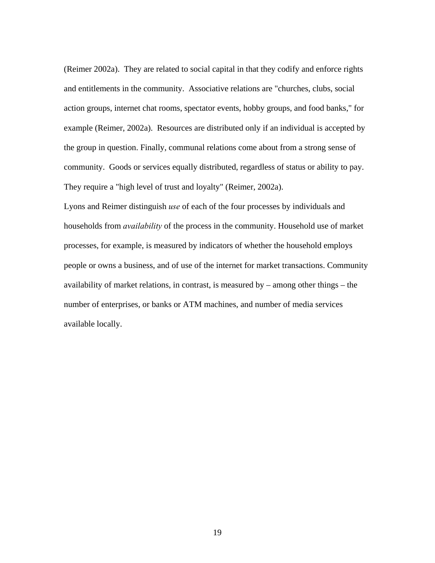(Reimer 2002a). They are related to social capital in that they codify and enforce rights and entitlements in the community. Associative relations are "churches, clubs, social action groups, internet chat rooms, spectator events, hobby groups, and food banks," for example (Reimer, 2002a). Resources are distributed only if an individual is accepted by the group in question. Finally, communal relations come about from a strong sense of community. Goods or services equally distributed, regardless of status or ability to pay. They require a "high level of trust and loyalty" (Reimer, 2002a).

Lyons and Reimer distinguish *use* of each of the four processes by individuals and households from *availability* of the process in the community. Household use of market processes, for example, is measured by indicators of whether the household employs people or owns a business, and of use of the internet for market transactions. Community availability of market relations, in contrast, is measured by – among other things – the number of enterprises, or banks or ATM machines, and number of media services available locally.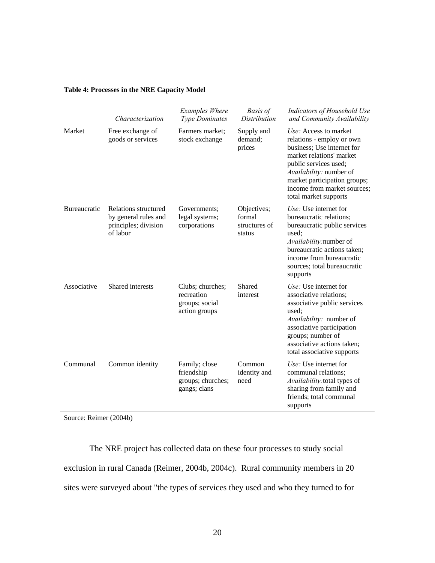# **Table 4: Processes in the NRE Capacity Model**

|              | Characterization                                                                 | <b>Examples Where</b><br><b>Type Dominates</b>                    | <b>Basis of</b><br><b>Distribution</b>           | Indicators of Household Use<br>and Community Availability                                                                                                                                                                                                |
|--------------|----------------------------------------------------------------------------------|-------------------------------------------------------------------|--------------------------------------------------|----------------------------------------------------------------------------------------------------------------------------------------------------------------------------------------------------------------------------------------------------------|
| Market       | Free exchange of<br>goods or services                                            | Farmers market;<br>stock exchange                                 | Supply and<br>demand;<br>prices                  | Use: Access to market<br>relations - employ or own<br>business; Use internet for<br>market relations' market<br>public services used;<br>Availability: number of<br>market participation groups;<br>income from market sources;<br>total market supports |
| Bureaucratic | Relations structured<br>by general rules and<br>principles; division<br>of labor | Governments:<br>legal systems;<br>corporations                    | Objectives;<br>formal<br>structures of<br>status | Use: Use internet for<br>bureaucratic relations;<br>bureaucratic public services<br>used;<br>Availability:number of<br>bureaucratic actions taken;<br>income from bureaucratic<br>sources; total bureaucratic<br>supports                                |
| Associative  | Shared interests                                                                 | Clubs; churches;<br>recreation<br>groups; social<br>action groups | Shared<br>interest                               | Use: Use internet for<br>associative relations;<br>associative public services<br>used:<br>Availability: number of<br>associative participation<br>groups; number of<br>associative actions taken;<br>total associative supports                         |
| Communal     | Common identity                                                                  | Family; close<br>friendship<br>groups; churches;<br>gangs; clans  | Common<br>identity and<br>need                   | Use: Use internet for<br>communal relations;<br>Availability: total types of<br>sharing from family and<br>friends; total communal<br>supports                                                                                                           |

Source: Reimer (2004b)

The NRE project has collected data on these four processes to study social exclusion in rural Canada (Reimer, 2004b, 2004c). Rural community members in 20 sites were surveyed about "the types of services they used and who they turned to for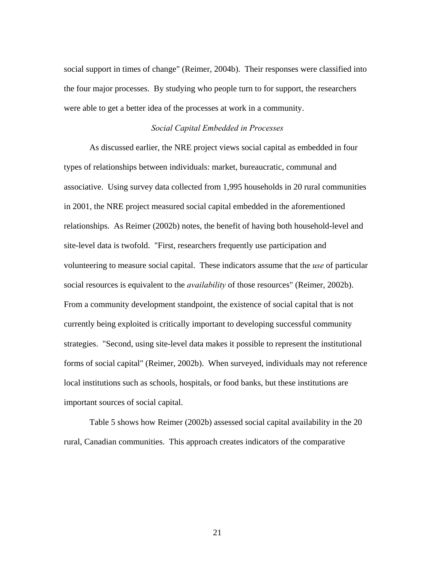social support in times of change" (Reimer, 2004b). Their responses were classified into the four major processes. By studying who people turn to for support, the researchers were able to get a better idea of the processes at work in a community.

#### *Social Capital Embedded in Processes*

 As discussed earlier, the NRE project views social capital as embedded in four types of relationships between individuals: market, bureaucratic, communal and associative. Using survey data collected from 1,995 households in 20 rural communities in 2001, the NRE project measured social capital embedded in the aforementioned relationships. As Reimer (2002b) notes, the benefit of having both household-level and site-level data is twofold. "First, researchers frequently use participation and volunteering to measure social capital. These indicators assume that the *use* of particular social resources is equivalent to the *availability* of those resources" (Reimer, 2002b). From a community development standpoint, the existence of social capital that is not currently being exploited is critically important to developing successful community strategies. "Second, using site-level data makes it possible to represent the institutional forms of social capital" (Reimer, 2002b). When surveyed, individuals may not reference local institutions such as schools, hospitals, or food banks, but these institutions are important sources of social capital.

 Table 5 shows how Reimer (2002b) assessed social capital availability in the 20 rural, Canadian communities. This approach creates indicators of the comparative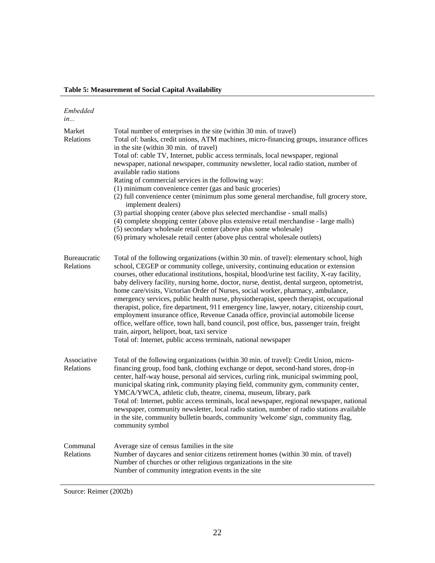| Embedded<br>in                          |                                                                                                                                                                                                                                                                                                                                                                                                                                                                                                                                                                                                                                                                                                                                                                                                                                                                                                                                                                              |
|-----------------------------------------|------------------------------------------------------------------------------------------------------------------------------------------------------------------------------------------------------------------------------------------------------------------------------------------------------------------------------------------------------------------------------------------------------------------------------------------------------------------------------------------------------------------------------------------------------------------------------------------------------------------------------------------------------------------------------------------------------------------------------------------------------------------------------------------------------------------------------------------------------------------------------------------------------------------------------------------------------------------------------|
| Market<br>Relations                     | Total number of enterprises in the site (within 30 min. of travel)<br>Total of: banks, credit unions, ATM machines, micro-financing groups, insurance offices<br>in the site (within 30 min. of travel)<br>Total of: cable TV, Internet, public access terminals, local newspaper, regional<br>newspaper, national newspaper, community newsletter, local radio station, number of<br>available radio stations<br>Rating of commercial services in the following way:<br>(1) minimum convenience center (gas and basic groceries)<br>(2) full convenience center (minimum plus some general merchandise, full grocery store,<br>implement dealers)<br>(3) partial shopping center (above plus selected merchandise - small malls)<br>(4) complete shopping center (above plus extensive retail merchandise - large malls)<br>(5) secondary wholesale retail center (above plus some wholesale)<br>(6) primary wholesale retail center (above plus central wholesale outlets) |
| <b>Bureaucratic</b><br><b>Relations</b> | Total of the following organizations (within 30 min. of travel): elementary school, high<br>school, CEGEP or community college, university, continuing education or extension<br>courses, other educational institutions, hospital, blood/urine test facility, X-ray facility,<br>baby delivery facility, nursing home, doctor, nurse, dentist, dental surgeon, optometrist,<br>home care/visits, Victorian Order of Nurses, social worker, pharmacy, ambulance,<br>emergency services, public health nurse, physiotherapist, speech therapist, occupational<br>therapist, police, fire department, 911 emergency line, lawyer, notary, citizenship court,<br>employment insurance office, Revenue Canada office, provincial automobile license<br>office, welfare office, town hall, band council, post office, bus, passenger train, freight<br>train, airport, heliport, boat, taxi service<br>Total of: Internet, public access terminals, national newspaper            |
| Associative<br>Relations                | Total of the following organizations (within 30 min. of travel): Credit Union, micro-<br>financing group, food bank, clothing exchange or depot, second-hand stores, drop-in<br>center, half-way house, personal aid services, curling rink, municipal swimming pool,<br>municipal skating rink, community playing field, community gym, community center,<br>YMCA/YWCA, athletic club, theatre, cinema, museum, library, park<br>Total of: Internet, public access terminals, local newspaper, regional newspaper, national<br>newspaper, community newsletter, local radio station, number of radio stations available<br>in the site, community bulletin boards, community 'welcome' sign, community flag,<br>community symbol                                                                                                                                                                                                                                            |
| Communal<br>Relations                   | Average size of census families in the site<br>Number of daycares and senior citizens retirement homes (within 30 min. of travel)<br>Number of churches or other religious organizations in the site<br>Number of community integration events in the site                                                                                                                                                                                                                                                                                                                                                                                                                                                                                                                                                                                                                                                                                                                   |

Source: Reimer (2002b)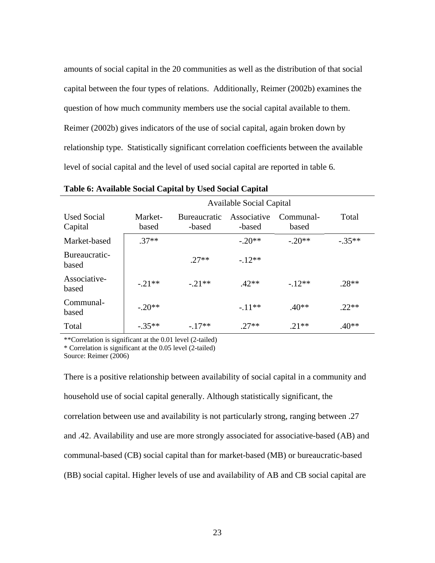amounts of social capital in the 20 communities as well as the distribution of that social capital between the four types of relations. Additionally, Reimer (2002b) examines the question of how much community members use the social capital available to them. Reimer (2002b) gives indicators of the use of social capital, again broken down by relationship type. Statistically significant correlation coefficients between the available level of social capital and the level of used social capital are reported in table 6.

|                               | <b>Available Social Capital</b> |                               |                       |                    |          |
|-------------------------------|---------------------------------|-------------------------------|-----------------------|--------------------|----------|
| <b>Used Social</b><br>Capital | Market-<br>based                | <b>Bureaucratic</b><br>-based | Associative<br>-based | Communal-<br>based | Total    |
| Market-based                  | $.37**$                         |                               | $-.20**$              | $-.20**$           | $-.35**$ |
| Bureaucratic-<br>based        |                                 | $27**$                        | $-12**$               |                    |          |
| Associative-<br>based         | $-21**$                         | $-21**$                       | $.42**$               | $-12**$            | $.28**$  |
| Communal-<br>based            | $-.20**$                        |                               | $-.11**$              | $.40**$            | $22**$   |
| Total                         | $-.35**$                        | $-17**$                       | $.27**$               | $21**$             | $.40**$  |

**Table 6: Available Social Capital by Used Social Capital**

\*\*Correlation is significant at the 0.01 level (2-tailed)

\* Correlation is significant at the 0.05 level (2-tailed)

Source: Reimer (2006)

There is a positive relationship between availability of social capital in a community and household use of social capital generally. Although statistically significant, the correlation between use and availability is not particularly strong, ranging between .27 and .42. Availability and use are more strongly associated for associative-based (AB) and communal-based (CB) social capital than for market-based (MB) or bureaucratic-based (BB) social capital. Higher levels of use and availability of AB and CB social capital are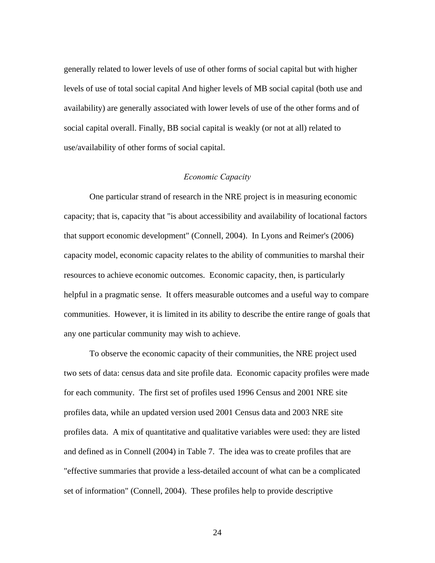generally related to lower levels of use of other forms of social capital but with higher levels of use of total social capital And higher levels of MB social capital (both use and availability) are generally associated with lower levels of use of the other forms and of social capital overall. Finally, BB social capital is weakly (or not at all) related to use/availability of other forms of social capital.

# *Economic Capacity*

 One particular strand of research in the NRE project is in measuring economic capacity; that is, capacity that "is about accessibility and availability of locational factors that support economic development" (Connell, 2004). In Lyons and Reimer's (2006) capacity model, economic capacity relates to the ability of communities to marshal their resources to achieve economic outcomes. Economic capacity, then, is particularly helpful in a pragmatic sense. It offers measurable outcomes and a useful way to compare communities. However, it is limited in its ability to describe the entire range of goals that any one particular community may wish to achieve.

 To observe the economic capacity of their communities, the NRE project used two sets of data: census data and site profile data. Economic capacity profiles were made for each community. The first set of profiles used 1996 Census and 2001 NRE site profiles data, while an updated version used 2001 Census data and 2003 NRE site profiles data. A mix of quantitative and qualitative variables were used: they are listed and defined as in Connell (2004) in Table 7. The idea was to create profiles that are "effective summaries that provide a less-detailed account of what can be a complicated set of information" (Connell, 2004). These profiles help to provide descriptive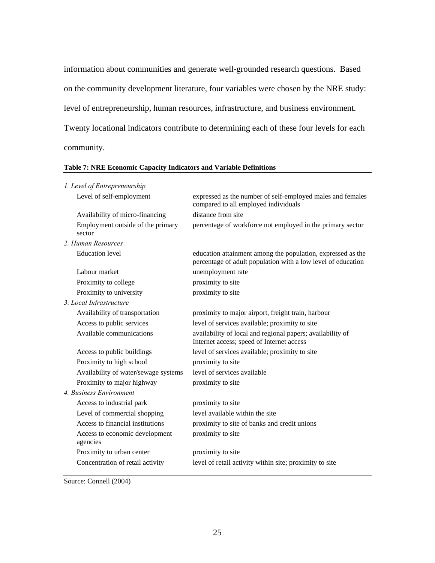information about communities and generate well-grounded research questions. Based on the community development literature, four variables were chosen by the NRE study: level of entrepreneurship, human resources, infrastructure, and business environment. Twenty locational indicators contribute to determining each of these four levels for each community.

| 1. Level of Entrepreneurship                |                                                                                                                             |
|---------------------------------------------|-----------------------------------------------------------------------------------------------------------------------------|
| Level of self-employment                    | expressed as the number of self-employed males and females<br>compared to all employed individuals                          |
| Availability of micro-financing             | distance from site                                                                                                          |
| Employment outside of the primary<br>sector | percentage of workforce not employed in the primary sector                                                                  |
| 2. Human Resources                          |                                                                                                                             |
| <b>Education</b> level                      | education attainment among the population, expressed as the<br>percentage of adult population with a low level of education |
| Labour market                               | unemployment rate                                                                                                           |
| Proximity to college                        | proximity to site                                                                                                           |
| Proximity to university                     | proximity to site                                                                                                           |
| 3. Local Infrastructure                     |                                                                                                                             |
| Availability of transportation              | proximity to major airport, freight train, harbour                                                                          |
| Access to public services                   | level of services available; proximity to site                                                                              |
| Available communications                    | availability of local and regional papers; availability of<br>Internet access; speed of Internet access                     |
| Access to public buildings                  | level of services available; proximity to site                                                                              |
| Proximity to high school                    | proximity to site                                                                                                           |
| Availability of water/sewage systems        | level of services available                                                                                                 |
| Proximity to major highway                  | proximity to site                                                                                                           |
| 4. Business Environment                     |                                                                                                                             |
| Access to industrial park                   | proximity to site                                                                                                           |
| Level of commercial shopping                | level available within the site                                                                                             |
| Access to financial institutions            | proximity to site of banks and credit unions                                                                                |
| Access to economic development<br>agencies  | proximity to site                                                                                                           |
| Proximity to urban center                   | proximity to site                                                                                                           |
| Concentration of retail activity            | level of retail activity within site; proximity to site                                                                     |

#### **Table 7: NRE Economic Capacity Indicators and Variable Definitions**

Source: Connell (2004)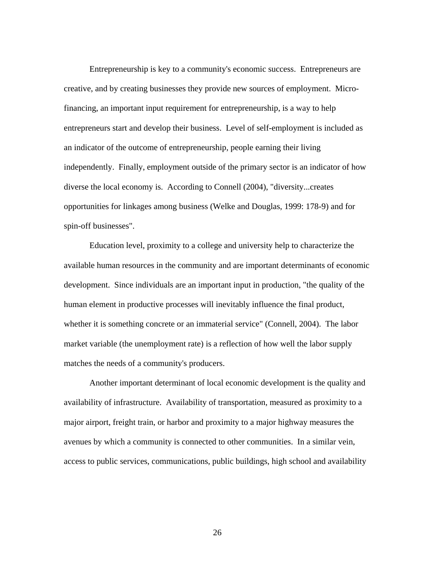Entrepreneurship is key to a community's economic success. Entrepreneurs are creative, and by creating businesses they provide new sources of employment. Microfinancing, an important input requirement for entrepreneurship, is a way to help entrepreneurs start and develop their business. Level of self-employment is included as an indicator of the outcome of entrepreneurship, people earning their living independently. Finally, employment outside of the primary sector is an indicator of how diverse the local economy is. According to Connell (2004), "diversity...creates opportunities for linkages among business (Welke and Douglas, 1999: 178-9) and for spin-off businesses".

 Education level, proximity to a college and university help to characterize the available human resources in the community and are important determinants of economic development. Since individuals are an important input in production, "the quality of the human element in productive processes will inevitably influence the final product, whether it is something concrete or an immaterial service" (Connell, 2004). The labor market variable (the unemployment rate) is a reflection of how well the labor supply matches the needs of a community's producers.

 Another important determinant of local economic development is the quality and availability of infrastructure. Availability of transportation, measured as proximity to a major airport, freight train, or harbor and proximity to a major highway measures the avenues by which a community is connected to other communities. In a similar vein, access to public services, communications, public buildings, high school and availability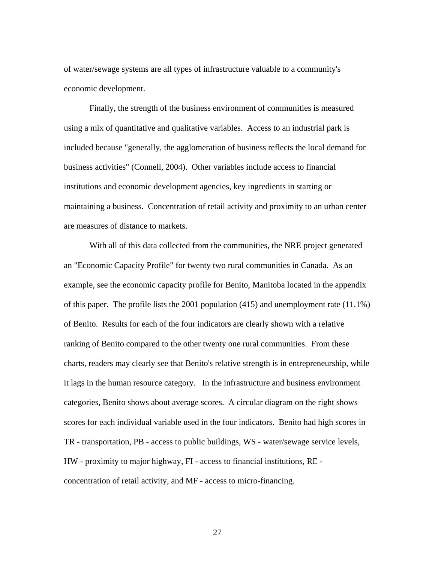of water/sewage systems are all types of infrastructure valuable to a community's economic development.

 Finally, the strength of the business environment of communities is measured using a mix of quantitative and qualitative variables. Access to an industrial park is included because "generally, the agglomeration of business reflects the local demand for business activities" (Connell, 2004). Other variables include access to financial institutions and economic development agencies, key ingredients in starting or maintaining a business. Concentration of retail activity and proximity to an urban center are measures of distance to markets.

 With all of this data collected from the communities, the NRE project generated an "Economic Capacity Profile" for twenty two rural communities in Canada. As an example, see the economic capacity profile for Benito, Manitoba located in the appendix of this paper. The profile lists the 2001 population (415) and unemployment rate (11.1%) of Benito. Results for each of the four indicators are clearly shown with a relative ranking of Benito compared to the other twenty one rural communities. From these charts, readers may clearly see that Benito's relative strength is in entrepreneurship, while it lags in the human resource category. In the infrastructure and business environment categories, Benito shows about average scores. A circular diagram on the right shows scores for each individual variable used in the four indicators. Benito had high scores in TR - transportation, PB - access to public buildings, WS - water/sewage service levels, HW - proximity to major highway, FI - access to financial institutions, RE concentration of retail activity, and MF - access to micro-financing.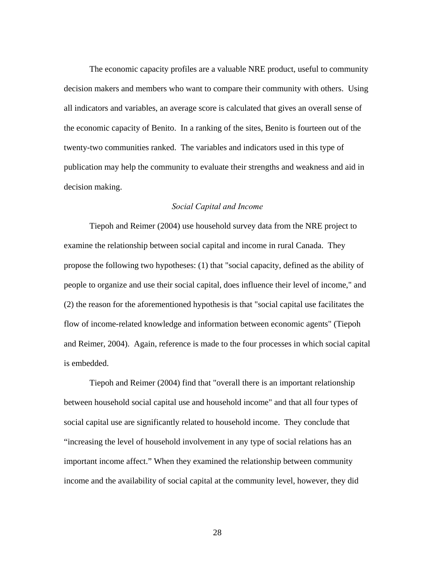The economic capacity profiles are a valuable NRE product, useful to community decision makers and members who want to compare their community with others. Using all indicators and variables, an average score is calculated that gives an overall sense of the economic capacity of Benito. In a ranking of the sites, Benito is fourteen out of the twenty-two communities ranked. The variables and indicators used in this type of publication may help the community to evaluate their strengths and weakness and aid in decision making.

#### *Social Capital and Income*

 Tiepoh and Reimer (2004) use household survey data from the NRE project to examine the relationship between social capital and income in rural Canada. They propose the following two hypotheses: (1) that "social capacity, defined as the ability of people to organize and use their social capital, does influence their level of income," and (2) the reason for the aforementioned hypothesis is that "social capital use facilitates the flow of income-related knowledge and information between economic agents" (Tiepoh and Reimer, 2004). Again, reference is made to the four processes in which social capital is embedded.

 Tiepoh and Reimer (2004) find that "overall there is an important relationship between household social capital use and household income" and that all four types of social capital use are significantly related to household income. They conclude that "increasing the level of household involvement in any type of social relations has an important income affect." When they examined the relationship between community income and the availability of social capital at the community level, however, they did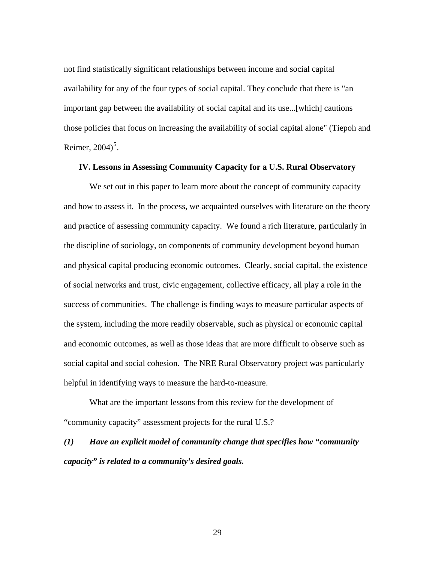not find statistically significant relationships between income and social capital availability for any of the four types of social capital. They conclude that there is "an important gap between the availability of social capital and its use...[which] cautions those policies that focus on increasing the availability of social capital alone" (Tiepoh and Reimer,  $2004$ <sup>[5](#page-36-1)</sup>.

#### **IV. Lessons in Assessing Community Capacity for a U.S. Rural Observatory**

We set out in this paper to learn more about the concept of community capacity and how to assess it. In the process, we acquainted ourselves with literature on the theory and practice of assessing community capacity. We found a rich literature, particularly in the discipline of sociology, on components of community development beyond human and physical capital producing economic outcomes. Clearly, social capital, the existence of social networks and trust, civic engagement, collective efficacy, all play a role in the success of communities. The challenge is finding ways to measure particular aspects of the system, including the more readily observable, such as physical or economic capital and economic outcomes, as well as those ideas that are more difficult to observe such as social capital and social cohesion. The NRE Rural Observatory project was particularly helpful in identifying ways to measure the hard-to-measure.

What are the important lessons from this review for the development of "community capacity" assessment projects for the rural U.S.?

*(1) Have an explicit model of community change that specifies how "community capacity" is related to a community's desired goals.*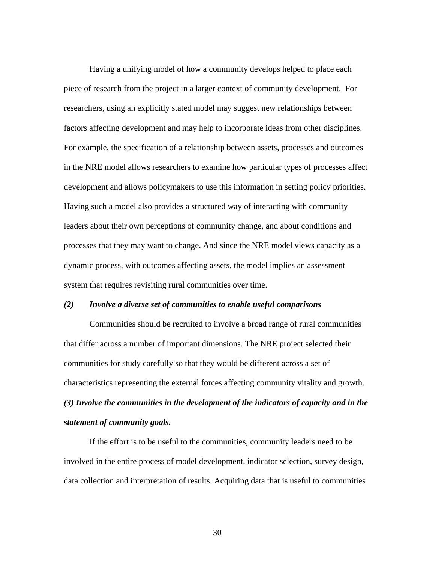Having a unifying model of how a community develops helped to place each piece of research from the project in a larger context of community development. For researchers, using an explicitly stated model may suggest new relationships between factors affecting development and may help to incorporate ideas from other disciplines. For example, the specification of a relationship between assets, processes and outcomes in the NRE model allows researchers to examine how particular types of processes affect development and allows policymakers to use this information in setting policy priorities. Having such a model also provides a structured way of interacting with community leaders about their own perceptions of community change, and about conditions and processes that they may want to change. And since the NRE model views capacity as a dynamic process, with outcomes affecting assets, the model implies an assessment system that requires revisiting rural communities over time.

#### *(2) Involve a diverse set of communities to enable useful comparisons*

 Communities should be recruited to involve a broad range of rural communities that differ across a number of important dimensions. The NRE project selected their communities for study carefully so that they would be different across a set of characteristics representing the external forces affecting community vitality and growth. *(3) Involve the communities in the development of the indicators of capacity and in the statement of community goals.*

 If the effort is to be useful to the communities, community leaders need to be involved in the entire process of model development, indicator selection, survey design, data collection and interpretation of results. Acquiring data that is useful to communities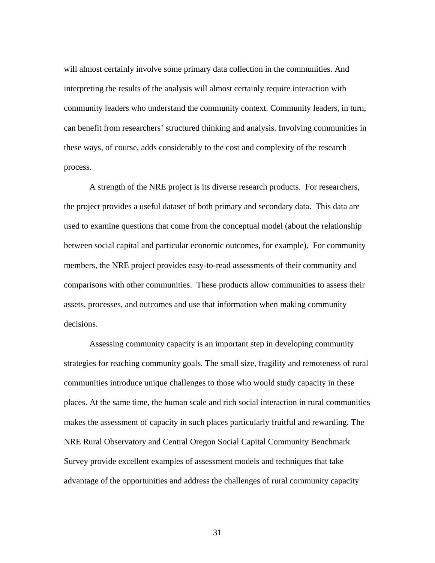will almost certainly involve some primary data collection in the communities. And interpreting the results of the analysis will almost certainly require interaction with community leaders who understand the community context. Community leaders, in turn, can benefit from researchers' structured thinking and analysis. Involving communities in these ways, of course, adds considerably to the cost and complexity of the research process.

 A strength of the NRE project is its diverse research products. For researchers, the project provides a useful dataset of both primary and secondary data. This data are used to examine questions that come from the conceptual model (about the relationship between social capital and particular economic outcomes, for example). For community members, the NRE project provides easy-to-read assessments of their community and comparisons with other communities. These products allow communities to assess their assets, processes, and outcomes and use that information when making community decisions.

 Assessing community capacity is an important step in developing community strategies for reaching community goals. The small size, fragility and remoteness of rural communities introduce unique challenges to those who would study capacity in these places. At the same time, the human scale and rich social interaction in rural communities makes the assessment of capacity in such places particularly fruitful and rewarding. The NRE Rural Observatory and Central Oregon Social Capital Community Benchmark Survey provide excellent examples of assessment models and techniques that take advantage of the opportunities and address the challenges of rural community capacity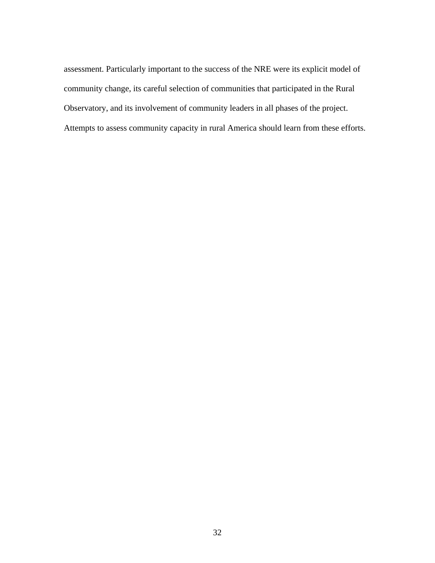assessment. Particularly important to the success of the NRE were its explicit model of community change, its careful selection of communities that participated in the Rural Observatory, and its involvement of community leaders in all phases of the project. Attempts to assess community capacity in rural America should learn from these efforts.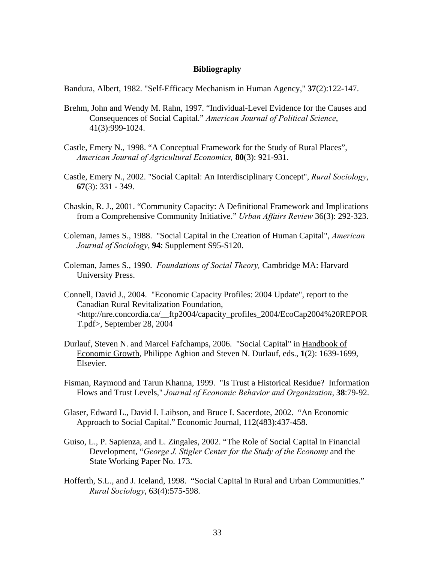#### **Bibliography**

Bandura, Albert, 1982. "Self-Efficacy Mechanism in Human Agency," **37**(2):122-147.

- Brehm, John and Wendy M. Rahn, 1997. "Individual-Level Evidence for the Causes and Consequences of Social Capital." *American Journal of Political Science*, 41(3):999-1024.
- Castle, Emery N., 1998. "A Conceptual Framework for the Study of Rural Places", *American Journal of Agricultural Economics,* **80**(3): 921-931.
- Castle, Emery N., 2002. "Social Capital: An Interdisciplinary Concept", *Rural Sociology*, **67**(3): 331 - 349.
- Chaskin, R. J., 2001. "Community Capacity: A Definitional Framework and Implications from a Comprehensive Community Initiative." *Urban Affairs Review* 36(3): 292-323.
- Coleman, James S., 1988. "Social Capital in the Creation of Human Capital", *American Journal of Sociology*, **94**: Supplement S95-S120.
- Coleman, James S., 1990. *Foundations of Social Theory,* Cambridge MA: Harvard University Press.
- Connell, David J., 2004. "Economic Capacity Profiles: 2004 Update", report to the Canadian Rural Revitalization Foundation, <http://nre.concordia.ca/\_\_ftp2004/capacity\_profiles\_2004/EcoCap2004%20REPOR T.pdf>, September 28, 2004
- Durlauf, Steven N. and Marcel Fafchamps, 2006. "Social Capital" in Handbook of Economic Growth, Philippe Aghion and Steven N. Durlauf, eds., **1**(2): 1639-1699, Elsevier.
- Fisman, Raymond and Tarun Khanna, 1999. "Is Trust a Historical Residue? Information Flows and Trust Levels," *Journal of Economic Behavior and Organization*, **38**:79-92.
- Glaser, Edward L., David I. Laibson, and Bruce I. Sacerdote, 2002. "An Economic Approach to Social Capital." Economic Journal, 112(483):437-458.
- Guiso, L., P. Sapienza, and L. Zingales, 2002. "The Role of Social Capital in Financial Development, "*George J. Stigler Center for the Study of the Economy* and the State Working Paper No. 173.
- Hofferth, S.L., and J. Iceland, 1998. "Social Capital in Rural and Urban Communities." *Rural Sociology*, 63(4):575-598.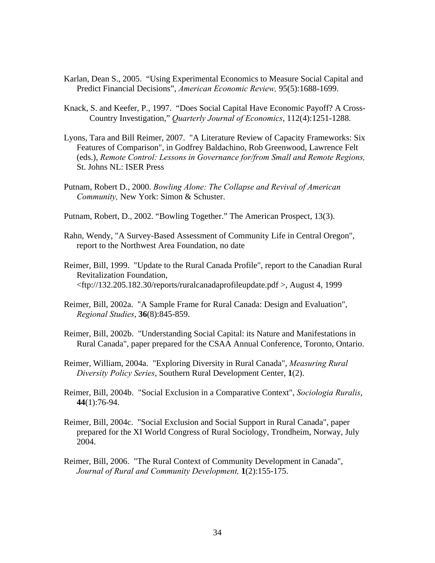- Karlan, Dean S., 2005. "Using Experimental Economics to Measure Social Capital and Predict Financial Decisions", *American Economic Review,* 95(5):1688-1699.
- Knack, S. and Keefer, P., 1997. "Does Social Capital Have Economic Payoff? A Cross-Country Investigation," *Quarterly Journal of Economics*, 112(4):1251-1288.
- Lyons, Tara and Bill Reimer, 2007. "A Literature Review of Capacity Frameworks: Six Features of Comparison", in Godfrey Baldachino, Rob Greenwood, Lawrence Felt (eds.), *Remote Control: Lessons in Governance for/from Small and Remote Regions,*  St. Johns NL: ISER Press
- Putnam, Robert D., 2000. *Bowling Alone: The Collapse and Revival of American Community,* New York: Simon & Schuster.
- Putnam, Robert, D., 2002. "Bowling Together." The American Prospect, 13(3).
- Rahn, Wendy, "A Survey-Based Assessment of Community Life in Central Oregon", report to the Northwest Area Foundation, no date
- Reimer, Bill, 1999. "Update to the Rural Canada Profile", report to the Canadian Rural Revitalization Foundation, <ftp://132.205.182.30/reports/ruralcanadaprofileupdate.pdf >, August 4, 1999
- Reimer, Bill, 2002a. "A Sample Frame for Rural Canada: Design and Evaluation", *Regional Studies*, **36**(8):845-859.
- Reimer, Bill, 2002b. "Understanding Social Capital: its Nature and Manifestations in Rural Canada", paper prepared for the CSAA Annual Conference, Toronto, Ontario.
- Reimer, William, 2004a. "Exploring Diversity in Rural Canada", *Measuring Rural Diversity Policy Series*, Southern Rural Development Center, **1**(2).
- Reimer, Bill, 2004b. "Social Exclusion in a Comparative Context", *Sociologia Ruralis*, **44**(1):76-94.
- Reimer, Bill, 2004c. "Social Exclusion and Social Support in Rural Canada", paper prepared for the XI World Congress of Rural Sociology, Trondheim, Norway, July 2004.
- Reimer, Bill, 2006. "The Rural Context of Community Development in Canada", *Journal of Rural and Community Development,* **1**(2):155-175.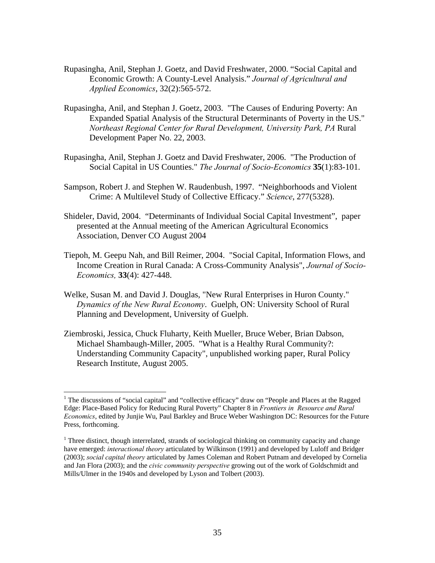- Rupasingha, Anil, Stephan J. Goetz, and David Freshwater, 2000. "Social Capital and Economic Growth: A County-Level Analysis." *Journal of Agricultural and Applied Economics*, 32(2):565-572.
- Rupasingha, Anil, and Stephan J. Goetz, 2003. "The Causes of Enduring Poverty: An Expanded Spatial Analysis of the Structural Determinants of Poverty in the US." *Northeast Regional Center for Rural Development, University Park, PA* Rural Development Paper No. 22, 2003.
- Rupasingha, Anil, Stephan J. Goetz and David Freshwater, 2006. "The Production of Social Capital in US Counties." *The Journal of Socio-Economics* **35**(1):83-101.
- Sampson, Robert J. and Stephen W. Raudenbush, 1997. "Neighborhoods and Violent Crime: A Multilevel Study of Collective Efficacy." *Science*, 277(5328).
- Shideler, David, 2004. "Determinants of Individual Social Capital Investment", paper presented at the Annual meeting of the American Agricultural Economics Association, Denver CO August 2004
- Tiepoh, M. Geepu Nah, and Bill Reimer, 2004. "Social Capital, Information Flows, and Income Creation in Rural Canada: A Cross-Community Analysis", *Journal of Socio-Economics,* **33**(4): 427-448.
- Welke, Susan M. and David J. Douglas, "New Rural Enterprises in Huron County." *Dynamics of the New Rural Economy*. Guelph, ON: University School of Rural Planning and Development, University of Guelph.
- Ziembroski, Jessica, Chuck Fluharty, Keith Mueller, Bruce Weber, Brian Dabson, Michael Shambaugh-Miller, 2005. "What is a Healthy Rural Community?: Understanding Community Capacity", unpublished working paper, Rural Policy Research Institute, August 2005.

 $\overline{a}$ 

<sup>&</sup>lt;sup>1</sup> The discussions of "social capital" and "collective efficacy" draw on "People and Places at the Ragged Edge: Place-Based Policy for Reducing Rural Poverty" Chapter 8 in *Frontiers in Resource and Rural Economics*, edited by Junjie Wu, Paul Barkley and Bruce Weber Washington DC: Resources for the Future Press, forthcoming.

<sup>&</sup>lt;sup>1</sup> Three distinct, though interrelated, strands of sociological thinking on community capacity and change have emerged: *interactional theory* articulated by Wilkinson (1991) and developed by Luloff and Bridger (2003); *social capital theory* articulated by James Coleman and Robert Putnam and developed by Cornelia and Jan Flora (2003); and the *civic community perspective* growing out of the work of Goldschmidt and Mills/Ulmer in the 1940s and developed by Lyson and Tolbert (2003).